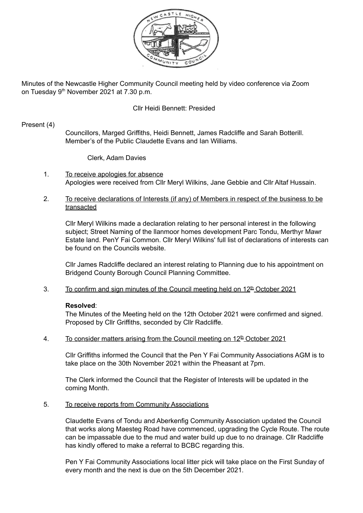

Minutes of the Newcastle Higher Community Council meeting held by video conference via Zoom on Tuesday 9<sup>th</sup> November 2021 at 7.30 p.m.

# Cllr Heidi Bennett: Presided

#### Present (4)

Councillors, Marged Griffiths, Heidi Bennett, James Radcliffe and Sarah Botterill. Member's of the Public Claudette Evans and Ian Williams.

Clerk, Adam Davies

- 1. To receive apologies for absence Apologies were received from Cllr Meryl Wilkins, Jane Gebbie and Cllr Altaf Hussain.
- 2. To receive declarations of Interests (if any) of Members in respect of the business to be transacted

Cllr Meryl Wilkins made a declaration relating to her personal interest in the following subject; Street Naming of the llanmoor homes development Parc Tondu, Merthyr Mawr Estate land. PenY Fai Common. Cllr Meryl Wilkins' full list of declarations of interests can be found on the Councils website.

Cllr James Radcliffe declared an interest relating to Planning due to his appointment on Bridgend County Borough Council Planning Committee.

3. To confirm and sign minutes of the Council meeting held on  $12<sup>th</sup>$  October 2021

### **Resolved**:

The Minutes of the Meeting held on the 12th October 2021 were confirmed and signed. Proposed by Cllr Griffiths, seconded by Cllr Radcliffe.

4. To consider matters arising from the Council meeting on  $12^{\text{th}}$  October 2021

Cllr Griffiths informed the Council that the Pen Y Fai Community Associations AGM is to take place on the 30th November 2021 within the Pheasant at 7pm.

The Clerk informed the Council that the Register of Interests will be updated in the coming Month.

#### 5. To receive reports from Community Associations

Claudette Evans of Tondu and Aberkenfig Community Association updated the Council that works along Maesteg Road have commenced, upgrading the Cycle Route. The route can be impassable due to the mud and water build up due to no drainage. Cllr Radcliffe has kindly offered to make a referral to BCBC regarding this.

Pen Y Fai Community Associations local litter pick will take place on the First Sunday of every month and the next is due on the 5th December 2021.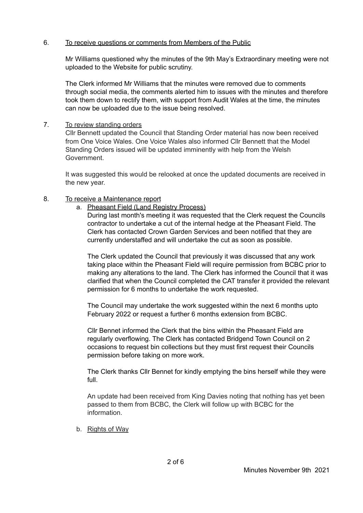# 6. To receive questions or comments from Members of the Public

Mr Williams questioned why the minutes of the 9th May's Extraordinary meeting were not uploaded to the Website for public scrutiny.

The Clerk informed Mr Williams that the minutes were removed due to comments through social media, the comments alerted him to issues with the minutes and therefore took them down to rectify them, with support from Audit Wales at the time, the minutes can now be uploaded due to the issue being resolved.

7. To review standing orders

Cllr Bennett updated the Council that Standing Order material has now been received from One Voice Wales. One Voice Wales also informed Cllr Bennett that the Model Standing Orders issued will be updated imminently with help from the Welsh Government.

It was suggested this would be relooked at once the updated documents are received in the new year.

# 8. To receive a Maintenance report

a. Pheasant Field (Land Registry Process)

During last month's meeting it was requested that the Clerk request the Councils contractor to undertake a cut of the internal hedge at the Pheasant Field. The Clerk has contacted Crown Garden Services and been notified that they are currently understaffed and will undertake the cut as soon as possible.

The Clerk updated the Council that previously it was discussed that any work taking place within the Pheasant Field will require permission from BCBC prior to making any alterations to the land. The Clerk has informed the Council that it was clarified that when the Council completed the CAT transfer it provided the relevant permission for 6 months to undertake the work requested.

The Council may undertake the work suggested within the next 6 months upto February 2022 or request a further 6 months extension from BCBC.

Cllr Bennet informed the Clerk that the bins within the Pheasant Field are regularly overflowing. The Clerk has contacted Bridgend Town Council on 2 occasions to request bin collections but they must first request their Councils permission before taking on more work.

The Clerk thanks Cllr Bennet for kindly emptying the bins herself while they were full.

An update had been received from King Davies noting that nothing has yet been passed to them from BCBC, the Clerk will follow up with BCBC for the information.

b. Rights of Way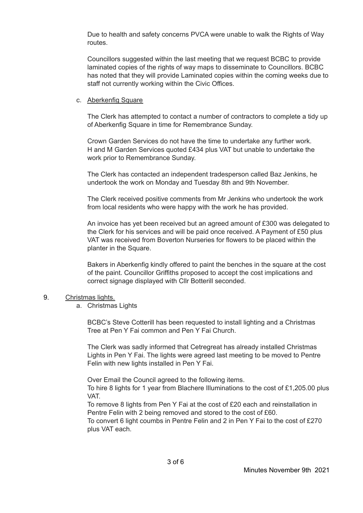Due to health and safety concerns PVCA were unable to walk the Rights of Way routes.

Councillors suggested within the last meeting that we request BCBC to provide laminated copies of the rights of way maps to disseminate to Councillors. BCBC has noted that they will provide Laminated copies within the coming weeks due to staff not currently working within the Civic Offices.

### c. Aberkenfig Square

The Clerk has attempted to contact a number of contractors to complete a tidy up of Aberkenfig Square in time for Remembrance Sunday.

Crown Garden Services do not have the time to undertake any further work. H and M Garden Services quoted £434 plus VAT but unable to undertake the work prior to Remembrance Sunday.

The Clerk has contacted an independent tradesperson called Baz Jenkins, he undertook the work on Monday and Tuesday 8th and 9th November.

The Clerk received positive comments from Mr Jenkins who undertook the work from local residents who were happy with the work he has provided.

An invoice has yet been received but an agreed amount of £300 was delegated to the Clerk for his services and will be paid once received. A Payment of £50 plus VAT was received from Boverton Nurseries for flowers to be placed within the planter in the Square.

Bakers in Aberkenfig kindly offered to paint the benches in the square at the cost of the paint. Councillor Griffiths proposed to accept the cost implications and correct signage displayed with Cllr Botterill seconded.

### 9. Christmas lights.

a. Christmas Lights

BCBC's Steve Cotterill has been requested to install lighting and a Christmas Tree at Pen Y Fai common and Pen Y Fai Church.

The Clerk was sadly informed that Cetregreat has already installed Christmas Lights in Pen Y Fai. The lights were agreed last meeting to be moved to Pentre Felin with new lights installed in Pen Y Fai.

Over Email the Council agreed to the following items.

To hire 8 lights for 1 year from Blachere Illuminations to the cost of £1,205.00 plus VAT.

To remove 8 lights from Pen Y Fai at the cost of £20 each and reinstallation in Pentre Felin with 2 being removed and stored to the cost of £60.

To convert 6 light coumbs in Pentre Felin and 2 in Pen Y Fai to the cost of £270 plus VAT each.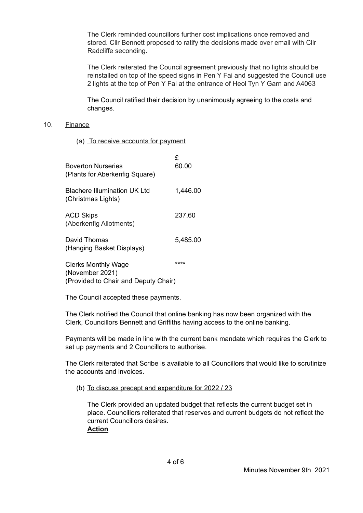The Clerk reminded councillors further cost implications once removed and stored. Cllr Bennett proposed to ratify the decisions made over email with Cllr Radcliffe seconding.

The Clerk reiterated the Council agreement previously that no lights should be reinstalled on top of the speed signs in Pen Y Fai and suggested the Council use 2 lights at the top of Pen Y Fai at the entrance of Heol Tyn Y Garn and A4063

The Council ratified their decision by unanimously agreeing to the costs and changes.

#### 10. Finance

(a) To receive accounts for payment

| <b>Boverton Nurseries</b><br>(Plants for Aberkenfig Square)                           | £<br>60.00 |
|---------------------------------------------------------------------------------------|------------|
| <b>Blachere Illumination UK Ltd</b><br>(Christmas Lights)                             | 1,446.00   |
| <b>ACD Skips</b><br>(Aberkenfig Allotments)                                           | 237.60     |
| David Thomas<br>(Hanging Basket Displays)                                             | 5,485.00   |
| <b>Clerks Monthly Wage</b><br>(November 2021)<br>(Provided to Chair and Deputy Chair) | ****       |

The Council accepted these payments.

The Clerk notified the Council that online banking has now been organized with the Clerk, Councillors Bennett and Griffiths having access to the online banking.

Payments will be made in line with the current bank mandate which requires the Clerk to set up payments and 2 Councillors to authorise.

The Clerk reiterated that Scribe is available to all Councillors that would like to scrutinize the accounts and invoices.

#### (b) To discuss precept and expenditure for 2022 / 23

The Clerk provided an updated budget that reflects the current budget set in place. Councillors reiterated that reserves and current budgets do not reflect the current Councillors desires. **Action**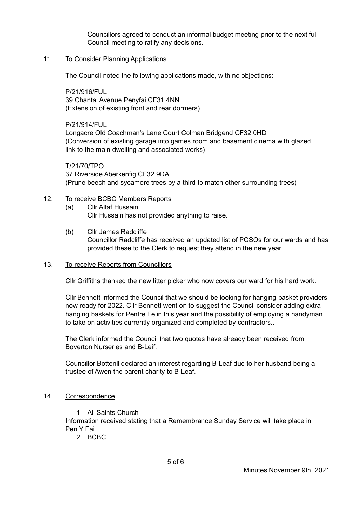Councillors agreed to conduct an informal budget meeting prior to the next full Council meeting to ratify any decisions.

# 11. To Consider Planning Applications

The Council noted the following applications made, with no objections:

P/21/916/FUL 39 Chantal Avenue Penyfai CF31 4NN (Extension of existing front and rear dormers)

P/21/914/FUL Longacre Old Coachman's Lane Court Colman Bridgend CF32 0HD (Conversion of existing garage into games room and basement cinema with glazed link to the main dwelling and associated works)

T/21/70/TPO 37 Riverside Aberkenfig CF32 9DA (Prune beech and sycamore trees by a third to match other surrounding trees)

### 12. To receive BCBC Members Reports

- (a) Cllr Altaf Hussain Cllr Hussain has not provided anything to raise.
- (b) Cllr James Radcliffe Councillor Radcliffe has received an updated list of PCSOs for our wards and has provided these to the Clerk to request they attend in the new year.

### 13. To receive Reports from Councillors

Cllr Griffiths thanked the new litter picker who now covers our ward for his hard work.

Cllr Bennett informed the Council that we should be looking for hanging basket providers now ready for 2022. Cllr Bennett went on to suggest the Council consider adding extra hanging baskets for Pentre Felin this year and the possibility of employing a handyman to take on activities currently organized and completed by contractors..

The Clerk informed the Council that two quotes have already been received from Boverton Nurseries and B-Leif.

Councillor Botterill declared an interest regarding B-Leaf due to her husband being a trustee of Awen the parent charity to B-Leaf.

# 14. Correspondence

1. All Saints Church

Information received stating that a Remembrance Sunday Service will take place in Pen Y Fai.

2. BCBC